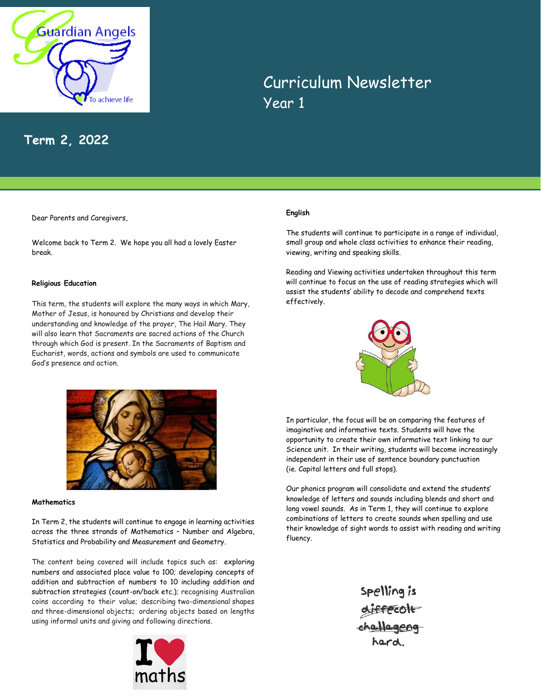

# **Term 2, 2022**

Dear Parents and Caregivers,

Welcome back to Term 2. We hope you all had a lovely Easter break.

## **Religious Education**

This term, the students will explore the many ways in which Mary, Mother of Jesus, is honoured by Christians and develop their understanding and knowledge of the prayer, The Hail Mary. They will also learn that Sacraments are sacred actions of the Church through which God is present. In the Sacraments of Baptism and Eucharist, words, actions and symbols are used to communicate God's presence and action.



Year 1

Curriculum Newsletter

The students will continue to participate in a range of individual, small group and whole class activities to enhance their reading, viewing, writing and speaking skills.

Reading and Viewing activities undertaken throughout this term will continue to focus on the use of reading strategies which will assist the students' ability to decode and comprehend texts effectively.



In particular, the focus will be on comparing the features of imaginative and informative texts. Students will have the opportunity to create their own informative text linking to our Science unit. In their writing, students will become increasingly independent in their use of sentence boundary punctuation (ie. Capital letters and full stops).

Our phonics program will consolidate and extend the students' knowledge of letters and sounds including blends and short and long vowel sounds. As in Term 1, they will continue to explore combinations of letters to create sounds when spelling and use their knowledge of sight words to assist with reading and writing fluency.

> Spelling is diffeolt<br>challageng



## **Mathematics**

In Term 2, the students will continue to engage in learning activities across the three strands of Mathematics – Number and Algebra, Statistics and Probability and Measurement and Geometry.

The content being covered will include topics such as: exploring numbers and associated place value to 100; developing concepts of addition and subtraction of numbers to 10 including addition and subtraction strategies (count-on/back etc.); recognising Australian coins according to their value; describing two-dimensional shapes and three-dimensional objects**;** ordering objects based on lengths using informal units and giving and following directions.

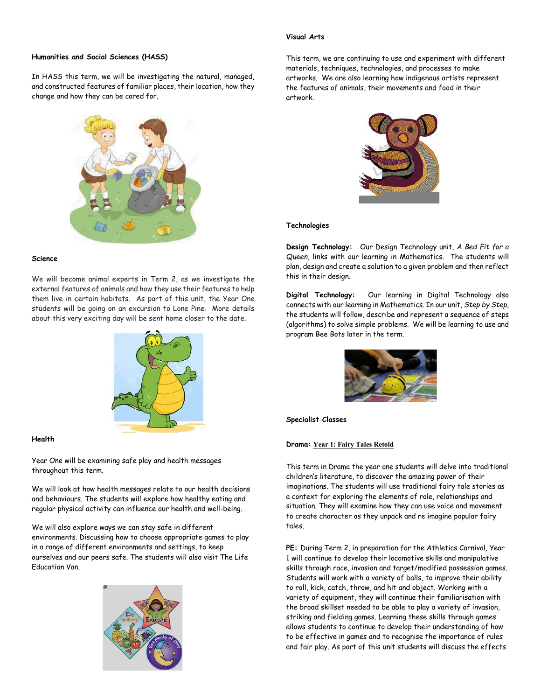### **Visual Arts**

# **Humanities and Social Sciences (HASS)**

In HASS this term, we will be investigating the natural, managed, and constructed features of familiar places, their location, how they change and how they can be cared for.



#### **Science**

We will become animal experts in Term 2, as we investigate the external features of animals and how they use their features to help them live in certain habitats. As part of this unit, the Year One students will be going on an excursion to Lone Pine. More details about this very exciting day will be sent home closer to the date.



#### **Health**

Year One will be examining safe play and health messages throughout this term.

We will look at how health messages relate to our health decisions and behaviours. The students will explore how healthy eating and regular physical activity can influence our health and well-being.

We will also explore ways we can stay safe in different environments. Discussing how to choose appropriate games to play in a range of different environments and settings, to keep ourselves and our peers safe. The students will also visit The Life Education Van.



This term, we are continuing to use and experiment with different materials, techniques, technologies, and processes to make artworks. We are also learning how indigenous artists represent the features of animals, their movements and food in their artwork.



#### **Technologies**

**Design Technology:** Our Design Technology unit, *A Bed Fit for a Queen*, links with our learning in Mathematics. The students will plan, design and create a solution to a given problem and then reflect this in their design.

**Digital Technology:** Our learning in Digital Technology also connects with our learning in Mathematics. In our unit, *Step by Step,* the students will follow, describe and represent a sequence of steps (algorithms) to solve simple problems. We will be learning to use and program Bee Bots later in the term.



**Specialist Classes**

#### **Drama: Year 1: Fairy Tales Retold**

This term in Drama the year one students will delve into traditional children's literature, to discover the amazing power of their imaginations. The students will use traditional fairy tale stories as a context for exploring the elements of role, relationships and situation. They will examine how they can use voice and movement to create character as they unpack and re imagine popular fairy tales.

**PE:** During Term 2, in preparation for the Athletics Carnival, Year 1 will continue to develop their locomotive skills and manipulative skills through race, invasion and target/modified possession games. Students will work with a variety of balls, to improve their ability to roll, kick, catch, throw, and hit and object. Working with a variety of equipment, they will continue their familiarisation with the broad skillset needed to be able to play a variety of invasion, striking and fielding games. Learning these skills through games allows students to continue to develop their understanding of how to be effective in games and to recognise the importance of rules and fair play. As part of this unit students will discuss the effects